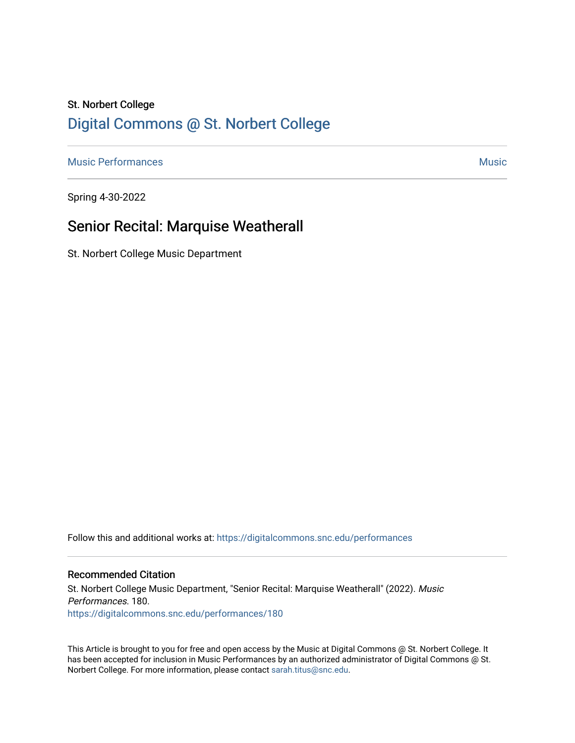# St. Norbert College [Digital Commons @ St. Norbert College](https://digitalcommons.snc.edu/)

[Music Performances](https://digitalcommons.snc.edu/performances) and the contract of the contract of the contract of the contract of the contract of the contract of the contract of the contract of the contract of the contract of the contract of the contract of the con

Spring 4-30-2022

## Senior Recital: Marquise Weatherall

St. Norbert College Music Department

Follow this and additional works at: [https://digitalcommons.snc.edu/performances](https://digitalcommons.snc.edu/performances?utm_source=digitalcommons.snc.edu%2Fperformances%2F180&utm_medium=PDF&utm_campaign=PDFCoverPages)

#### Recommended Citation

St. Norbert College Music Department, "Senior Recital: Marquise Weatherall" (2022). Music Performances. 180. [https://digitalcommons.snc.edu/performances/180](https://digitalcommons.snc.edu/performances/180?utm_source=digitalcommons.snc.edu%2Fperformances%2F180&utm_medium=PDF&utm_campaign=PDFCoverPages) 

This Article is brought to you for free and open access by the Music at Digital Commons @ St. Norbert College. It has been accepted for inclusion in Music Performances by an authorized administrator of Digital Commons @ St. Norbert College. For more information, please contact [sarah.titus@snc.edu](mailto:sarah.titus@snc.edu).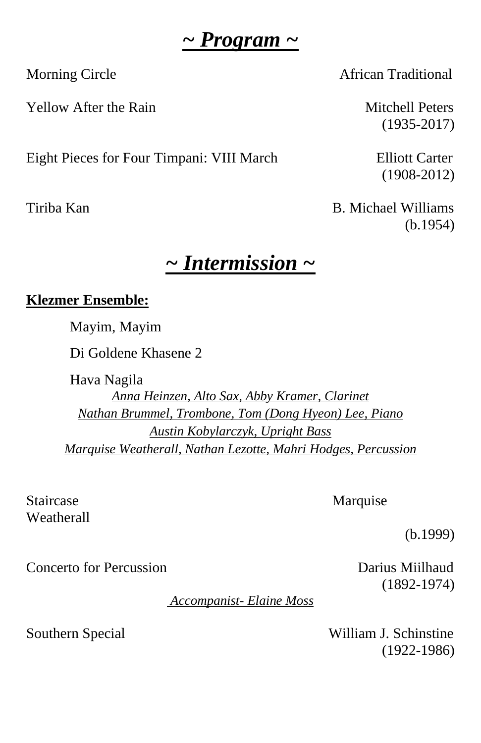## *~ Program ~*

Yellow After the Rain Mitchell Peters

Eight Pieces for Four Timpani: VIII March Elliott Carter

Morning Circle **African Traditional** 

(1935-2017)

(1908-2012)

Tiriba Kan B. Michael Williams (b.1954)

# *~ Intermission ~*

### **Klezmer Ensemble:**

Mayim, Mayim

Di Goldene Khasene 2

Hava Nagila *Anna Heinzen, Alto Sax, Abby Kramer, Clarinet Nathan Brummel, Trombone, Tom (Dong Hyeon) Lee, Piano Austin Kobylarczyk, Upright Bass Marquise Weatherall, Nathan Lezotte, Mahri Hodges, Percussion*

Staircase Marquise Weatherall

(b.1999)

Concerto for Percussion Darius Miilhaud

(1892-1974)

*Accompanist- Elaine Moss* 

Southern Special William J. Schinstine (1922-1986)